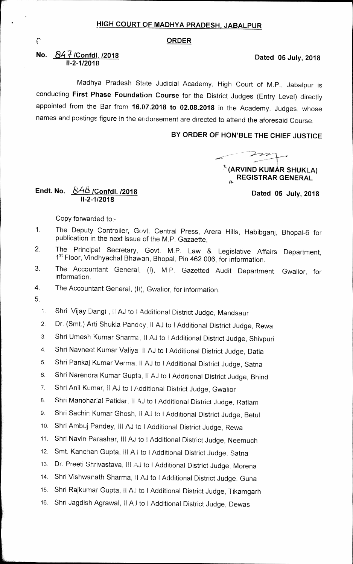# **• HIGH COURT OF MADHYA PRADESH, JABALPUR**

#### **ORDER**

### **No. 84 /Confdl. 12018 11-2-1/2018**

Madhya Pradesh State Judicial Academy, High Court of M.P., Jabalpur is conducting **First Phase Foundation Course** for the District Judges (Entry Level) directly appointed from the Bar from **16.07.2018 to 02.08.2018** in the Academy. Judges, whose names and postings figure in the endorsement are directed to attend the aforesaid Course.

## **BY ORDER OF HOWBLE THE CHIEF JUSTICE**

222 *20,0,*  **f' (ARVIND KUMAR SHUKLA) REGISTRAR GENERAL** 

**Dated 05 July, 2018** 

**Endt. No. (St.1-f /Confdl. /2018 11-2-1/2018** 

Copy forwarded to:

- 1. The Deputy Controller, Govt. Central Press, Arera Hills, Habibganj, Bhopal-6 for publication in the next issue of the M.P. Gazaette,
- 2. The Principal Secretary, Govt. M.P. Law & Legislative Affairs Department, 1<sup>st</sup> Floor, Vindhyachal Bhawan, Bhopal, Pin 462 006, for information.
- 3. The Accountant General, (I), M.P. Gazetted Audit Department, Gwalior, for information.
- 4. The Accountant General, (h), Gwalior, for information.
- 5.

1. Shri Vijay Dangi, II AJ to I Additional District Judge, Mandsaur

- 2. Dr. (Smt.) Arti Shukla Pandey, II AJ to lAdditional District Judge, Rewa
- 3. Shri Umesh Kumar Sharma, II AJ to I Additional District Judge, Shivpuri
- 4. Shri Navneet Kumar Valiya, II AJ to I Additional District Judge, Datia
- 5. Shri Pankaj Kumar Verma, II AJ to I Additional District Judge, Satna
- 6. Shri Narendra Kumar Gupta, II AJ to I Additional District Judge, Bhind
- 7. Shri Anil Kumar, II AJ to I Additional District Judge, Gwalior
- 8. Shri Manoharlal Patidar, II AJ to I Additional District Judge, Ratlam
- 9. Shri Sachin Kumar Ghosh, II AJ to I Additional District Judge, Betul
- 10. Shri Ambuj Pandey, Ill AJ to I Additional District Judge, Rewa
- 11. Shri Navin Parashar, Ill AJ to I Additional District Judge, Neemuch
- 12. Smt. Kanchan Gupta, Ill Al to I Additional District Judge, Satna
- 13. Dr. Preeti Shrivastava, III AJ to I Additional District Judge, Morena
- 14. Shri Vishwanath Sharma, II AJ to I Additional District Judge, Guna
- 15. Shri Rajkumar Gupta, Il Al to I Additional District Judge, Tikamgarh
- 16. Shri Jagdish Agrawal, II Al to I Additional District Judge, Dewas

 $\Gamma$ 

## **Dated 05 July, 2018**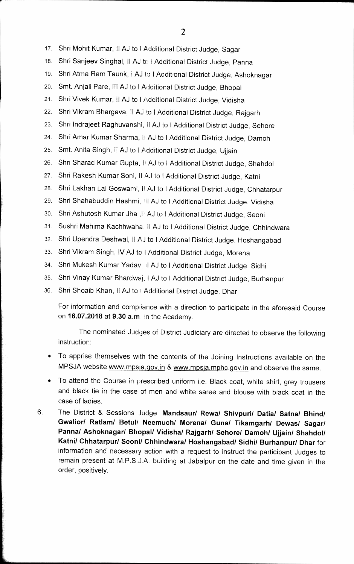- 17. Shri Mohit Kumar, II AJ to I Additional District Judge, Sagar
- 18. Shri Sanjeev Singhal, II AJ to | Additional District Judge, Panna
- 19. Shri Atma Ram Taunk, I AJ to I Additional District Judge, Ashoknagar
- 20. Smt. Anjaii Pare, ill AJ to I Additional District Judge, Bhopal
- 21. Shri Vivek Kumar, II AJ to I Additional District Judge, Vidisha
- 22. Shri Vikram Bhargava, II AJ to I Additional District Judge, Rajgarh
- 23. Shri Indrajeet Raghuvanshi, II AJ to I Additional District Judge, Sehore
- 24. Shri Amar Kumar Sharma, II AJ to I Additional District Judge, Damoh
- 25. Smt. Anita Singh, II AJ to I Additional District Judge, Ujjain
- 26. Shri Sharad Kumar Gupta, II AJ to I Additional District Judge, Shahdol
- 27. Shri Rakesh Kumar Soni, II AJ to I Additional District Judge, Katni
- 28. Shri Lakhan Lal Goswami, Ii AJ to I Additional District Judge, Chhatarpur
- 29. Shri Shahabuddin Hashmi, ill AJ to I Additional District Judge, Vidisha
- 30. Shri Ashutosh Kumar Jha ,H AJ to I Additional District Judge, Seoni
- 31. Sushri Mahima Kachhwaha, II AJ to I Additional District Judge, Chhindwara
- 32. Shri Upendra Deshwal, Ii Ai to I Additional District Judge, Hoshangabad
- 33. Shri Vikram Singh, IV AJ to I Additional District Judge, Morena
- 34. Shri Mukesh Kumar Yadav, II AJ to I Additional District Judge, Sidhi
- 35. Shri Vinay Kumar Bhardwaj, I AJ to I Additional District Judge, Burhanpur
- 36. Shri Shoaib Khan, II AJ to | Additional District Judge, Dhar

For information and compliance with a direction to participate in the aforesaid Course on **16.07.2018** at **9.30 a.m in** the Academy.

The nominated Judges of District Judiciary are directed to observe the following instruction:

- To apprise themselves with the contents of the Joining Instructions available on the MPSJA website www.mpsja.gov.in & www.mpsja.mphc.gov.in and observe the same.
- To attend the Course in prescribed uniform i.e. Black coat, white shirt, grey trousers and black tie in the case of men and white saree and blouse with black coat in the case of ladies.
- 6 The District & Sessions Judge, **Mandsaur/ Rewa/ Shivpuri/ Datia/ Satna/ Bhind/**  Gwalior/ Ratlam/ Betul/ Neemuch/ Morena/ Guna/ Tikamgarh/ Dewas/ Sagar/ Panna/ Ashoknagar/ Bhopal/ Vidisha/ Rajgarh/ Sehore/ Damoh/ Ujjain/ Shahdol/ **Katni/ Chhatarpur/ Seonii Chhindwara/ Hoshangabad/ Sidhi/ Burhanpur/ Dhar** for information and necessary action with a request to instruct the participant Judges to remain present at M.P.S.J.A. building at Jabalpur on the date and time given in the order, positively.